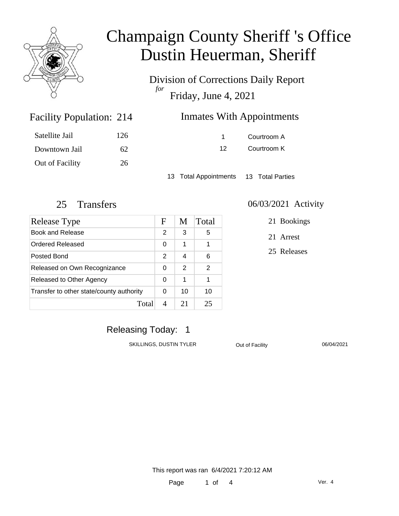

# Champaign County Sheriff 's Office Dustin Heuerman, Sheriff

Division of Corrections Daily Report *for* Friday, June 4, 2021

| <b>Facility Population: 214</b> |     | <b>Inmates With Appointments</b> |
|---------------------------------|-----|----------------------------------|
| Satellite Jail                  | 126 | Courtroom A                      |
| Downtown Jail                   | 62. | Courtroom K<br>12.               |
|                                 |     |                                  |

13 Total Appointments 13 Total Parties

Out of Facility 26

| Release Type                             | F             | M  | Total |
|------------------------------------------|---------------|----|-------|
| Book and Release                         | 2             | 3  | 5     |
| <b>Ordered Released</b>                  | 0             | 1  | 1     |
| Posted Bond                              | $\mathcal{P}$ | 4  | 6     |
| Released on Own Recognizance             | 0             | 2  | 2     |
| Released to Other Agency                 |               | 1  |       |
| Transfer to other state/county authority |               | 10 | 10    |
| Total                                    |               | 21 | 25    |

#### 25 Transfers 06/03/2021 Activity

21 Bookings

21 Arrest

25 Releases

### Releasing Today: 1

SKILLINGS, DUSTIN TYLER Out of Facility 06/04/2021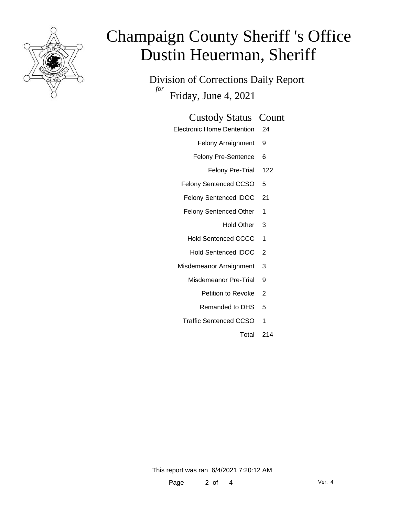

# Champaign County Sheriff 's Office Dustin Heuerman, Sheriff

Division of Corrections Daily Report *for* Friday, June 4, 2021

| <b>Custody Status Count</b> |  |
|-----------------------------|--|
|-----------------------------|--|

- Electronic Home Dentention 24
	- Felony Arraignment 9
	- Felony Pre-Sentence 6
		- Felony Pre-Trial 122
	- Felony Sentenced CCSO 5
	- Felony Sentenced IDOC 21
	- Felony Sentenced Other 1
		- Hold Other 3
	- Hold Sentenced CCCC 1
	- Hold Sentenced IDOC 2
	- Misdemeanor Arraignment 3
		- Misdemeanor Pre-Trial 9
			- Petition to Revoke 2
			- Remanded to DHS 5
		- Traffic Sentenced CCSO 1
			- Total 214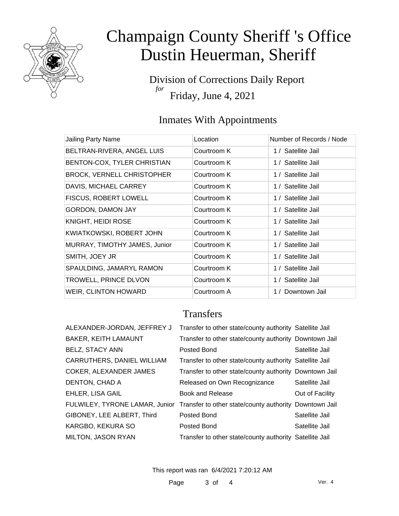

# Champaign County Sheriff 's Office Dustin Heuerman, Sheriff

Division of Corrections Daily Report *for* Friday, June 4, 2021

## Inmates With Appointments

| Jailing Party Name                | Location    | Number of Records / Node |
|-----------------------------------|-------------|--------------------------|
| BELTRAN-RIVERA, ANGEL LUIS        | Courtroom K | 1 / Satellite Jail       |
| BENTON-COX, TYLER CHRISTIAN       | Courtroom K | 1 / Satellite Jail       |
| <b>BROCK, VERNELL CHRISTOPHER</b> | Courtroom K | 1 / Satellite Jail       |
| DAVIS, MICHAEL CARREY             | Courtroom K | 1 / Satellite Jail       |
| <b>FISCUS, ROBERT LOWELL</b>      | Courtroom K | 1 / Satellite Jail       |
| GORDON, DAMON JAY                 | Courtroom K | 1 / Satellite Jail       |
| KNIGHT, HEIDI ROSE                | Courtroom K | 1 / Satellite Jail       |
| KWIATKOWSKI, ROBERT JOHN          | Courtroom K | 1 / Satellite Jail       |
| MURRAY, TIMOTHY JAMES, Junior     | Courtroom K | 1 / Satellite Jail       |
| SMITH, JOEY JR                    | Courtroom K | 1 / Satellite Jail       |
| SPAULDING, JAMARYL RAMON          | Courtroom K | 1 / Satellite Jail       |
| TROWELL, PRINCE DLVON             | Courtroom K | 1 / Satellite Jail       |
| <b>WEIR, CLINTON HOWARD</b>       | Courtroom A | 1 / Downtown Jail        |

### **Transfers**

| ALEXANDER-JORDAN, JEFFREY J | Transfer to other state/county authority Satellite Jail                               |                 |
|-----------------------------|---------------------------------------------------------------------------------------|-----------------|
| <b>BAKER, KEITH LAMAUNT</b> | Transfer to other state/county authority Downtown Jail                                |                 |
| <b>BELZ, STACY ANN</b>      | Posted Bond                                                                           | Satellite Jail  |
| CARRUTHERS, DANIEL WILLIAM  | Transfer to other state/county authority Satellite Jail                               |                 |
| COKER, ALEXANDER JAMES      | Transfer to other state/county authority Downtown Jail                                |                 |
| DENTON, CHAD A              | Released on Own Recognizance                                                          | Satellite Jail  |
| <b>EHLER, LISA GAIL</b>     | <b>Book and Release</b>                                                               | Out of Facility |
|                             | FULWILEY, TYRONE LAMAR, Junior Transfer to other state/county authority Downtown Jail |                 |
| GIBONEY, LEE ALBERT, Third  | Posted Bond                                                                           | Satellite Jail  |
| KARGBO, KEKURA SO           | Posted Bond                                                                           | Satellite Jail  |
| MILTON, JASON RYAN          | Transfer to other state/county authority Satellite Jail                               |                 |